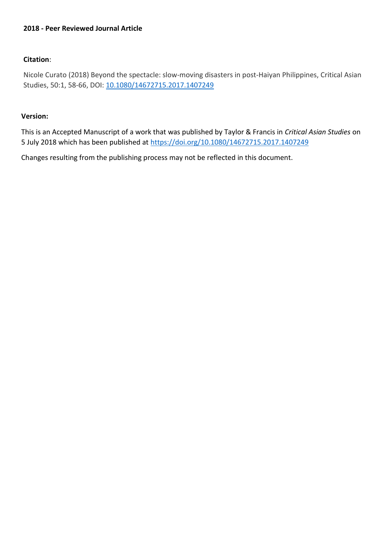# **2018 - Peer Reviewed Journal Article**

# **Citation**:

Nicole Curato (2018) Beyond the spectacle: slow-moving disasters in post-Haiyan Philippines, Critical Asian Studies, 50:1, 58-66, DOI: [10.1080/14672715.2017.1407249](https://doi.org/10.1080/14672715.2017.1407249)

## **Version:**

This is an Accepted Manuscript of a work that was published by Taylor & Francis in *Critical Asian Studies* on 5 July 2018 which has been published at <https://doi.org/10.1080/14672715.2017.1407249>

Changes resulting from the publishing process may not be reflected in this document.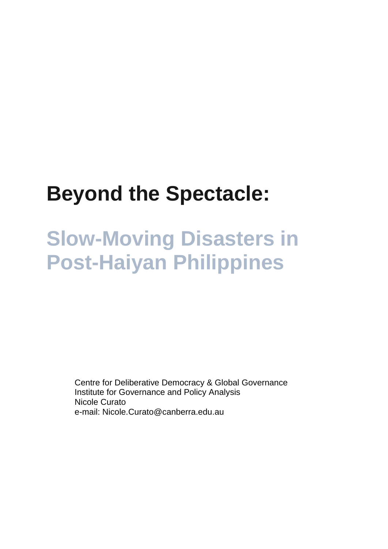# **Beyond the Spectacle:**

# **Slow-Moving Disasters in Post-Haiyan Philippines**

Centre for Deliberative Democracy & Global Governance Institute for Governance and Policy Analysis Nicole Curato e-mail: Nicole.Curato@canberra.edu.au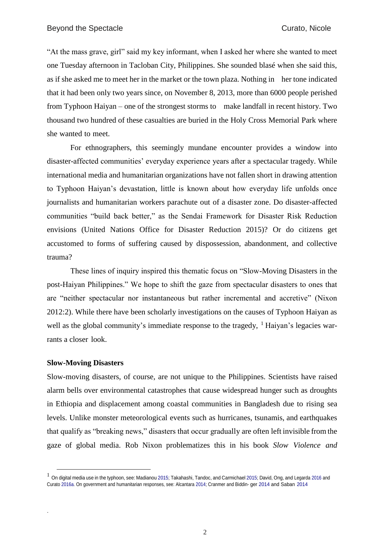"At the mass grave, girl" said my key informant, when I asked her where she wanted to meet one Tuesday afternoon in Tacloban City, Philippines. She sounded blasé when she said this, as if she asked me to meet her in the market or the town plaza. Nothing in her tone indicated that it had been only two years since, on November 8, 2013, more than 6000 people perished from Typhoon Haiyan – one of the strongest storms to make landfall in recent history. Two thousand two hundred of these casualties are buried in the Holy Cross Memorial Park where she wanted to meet.

For ethnographers, this seemingly mundane encounter provides a window into disaster-affected communities' everyday experience years after a spectacular tragedy. While international media and humanitarian organizations have not fallen short in drawing attention to Typhoon Haiyan's devastation, little is known about how everyday life unfolds once journalists and humanitarian workers parachute out of a disaster zone. Do disaster-affected communities "build back better," as the Sendai Framework for Disaster Risk Reduction envisions (United Nations Office for Disaster Reduction 2015)? Or do citizens get accustomed to forms of suffering caused by dispossession, abandonment, and collective trauma?

These lines of inquiry inspired this thematic focus on "Slow-Moving Disasters in the post-Haiyan Philippines." We hope to shift the gaze from spectacular disasters to ones that are "neither spectacular nor instantaneous but rather incremental and accretive" (Nixon 2012:2). While there have been scholarly investigations on the causes of Typhoon Haiyan as well as the global community's immediate response to the tragedy,  $\frac{1}{1}$  Haiyan's legacies warrants a closer look.

## **Slow-Moving Disasters**

.

<span id="page-2-0"></span><u>.</u>

Slow-moving disasters, of course, are not unique to the Philippines. Scientists have raised alarm bells over environmental catastrophes that cause widespread hunger such as droughts in Ethiopia and displacement among coastal communities in Bangladesh due to rising sea levels. Unlike monster meteorological events such as hurricanes, tsunamis, and earthquakes that qualify as "breaking news," disasters that occur gradually are often left invisible from the gaze of global media. Rob Nixon problematizes this in his book *Slow Violence and* 

 $1$  On digital media use in the typhoon, see: Madianou [2015;](#page-10-0) Takahashi, Tandoc, and Carmichael 2015; David, Ong, and Legard[a 2016 a](#page-10-0)nd Curat[o 2016a.](#page-10-0) On government and humanitarian responses, see: Alcantar[a 2014;](#page-10-0) Cranmer and Biddin- ger [2014 a](#page-10-0)nd Saban 2014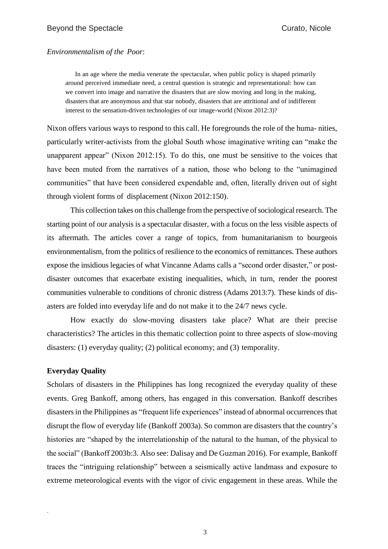## *Environmentalism of the Poor*:

In an age where the media venerate the spectacular, when public policy is shaped primarily around perceived immediate need, a central question is strategic and representational: how can we convert into image and narrative the disasters that are slow moving and long in the making, disasters that are anonymous and that star nobody, disasters that are attritional and of indifferent interest to the sensation-driven technologies of our image-world (Nixon 2012:3)?

Nixon offers various ways to respond to this call. He foregrounds the role of the huma- nities, particularly writer-activists from the global South whose imaginative writing can "make the unapparent appear" (Nixon 2012:15)[.](#page-2-0) To do this, one must be sensitive to the voices that have been muted from the narratives of a nation, those who belong to the "unimagined communities" that have been considered expendable and, often, literally driven out of sight through violent forms of displacement (Nixon 2012:150).

This collection takes on this challenge from the perspective of sociological research. The starting point of our analysis is a spectacular disaster, with a focus on the less visible aspects of its aftermath. The articles cover a range of topics, from humanitarianism to bourgeois environmentalism, from the politics of resilience to the economics of remittances. These authors expose the insidious legacies of what Vincanne Adams calls a "second order disaster," or postdisaster outcomes that exacerbate existing inequalities, which, in turn, render the poorest communities vulnerable to conditions of chronic distress (Adams 2013:7)[.](#page-2-0) These kinds of disasters are folded into everyday life and do not make it to the 24/7 news cycle.

How exactly do slow-moving disasters take place? What are their precise characteristics? The articles in this thematic collection point to three aspects of slow-moving disasters: (1) everyday quality; (2) political economy; and (3) temporality.

# **Everyday Quality**

.

Scholars of disasters in the Philippines has long recognized the everyday quality of these events. Greg Bankoff, among others, has engaged in this conversation. Bankoff describes disasters in the Philippines as "frequent life experiences" instead of abnormal occurrences that disrupt the flow of everyday life (Bankoff 2003a)[.](#page-2-0) So common are disasters that the country's histories are "shaped by the interrelationship of the natural to the human, of the physical to the social" (Bankoff 2003b:3. Also see: Dalisay and De Guzman 2016)[.](#page-2-0) For example, Bankoff traces the "intriguing relationship" between a seismically active landmass and exposure to extreme meteorological events with the vigor of civic engagement in these areas. While the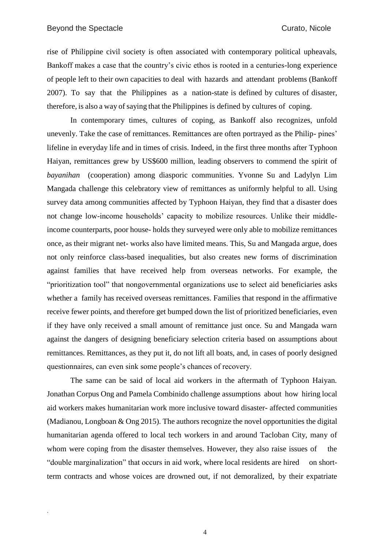rise of Philippine civil society is often associated with contemporary political upheavals, Bankoff makes a case that the country's civic ethos is rooted in a centuries-long experience of people left to their own capacities to deal with hazards and attendant problems (Bankoff 2007)[.](#page-2-0) To say that the Philippines as a nation-state is defined by cultures of disaster, therefore, is also a way of saying that the Philippines is defined by cultures of coping.

<span id="page-4-0"></span>In contemporary times, cultures of coping, as Bankoff also recognizes, unfold unevenly. Take the case of remittances. Remittances are often portrayed as the Philip- pines' lifeline in everyday life and in times of crisis. Indeed, in the first three months after Typhoon Haiyan, remittances grew by US\$600 million, leading observers to commend the spirit of *bayanihan* (cooperation) among diasporic communities. Yvonne Su and Ladylyn Lim Mangada challenge this celebratory view of remittances as uniformly helpful to all. Using survey data among communities affected by Typhoon Haiyan, they find that a disaster does not change low-income households' capacity to mobilize resources. Unlike their middleincome counterparts, poor house- holds they surveyed were only able to mobilize remittances once, as their migrant net- works also have limited means. This, Su and Mangada argue, does not only reinforce class-based inequalities, but also creates new forms of discrimination against families that have received help from overseas networks. For example, the "prioritization tool" that nongovernmental organizations use to select aid beneficiaries asks whether a family has received overseas remittances. Families that respond in the affirmative receive fewer points, and therefore get bumped down the list of prioritized beneficiaries, even if they have only received a small amount of remittance just once. Su and Mangada warn against the dangers of designing beneficiary selection criteria based on assumptions about remittances. Remittances, as they put it, do not lift all boats, and, in cases of poorly designed questionnaires, can even sink some people's chances of recovery.

The same can be said of local aid workers in the aftermath of Typhoon Haiyan. Jonathan Corpus Ong and Pamela Combinido challenge assumptions about how hiring local aid workers makes humanitarian work more inclusive toward disaster- affected communities (Madianou, Longboan & Ong 2015). [T](#page-4-0)he authors recognize the novel opportunities the digital humanitarian agenda offered to local tech workers in and around Tacloban City, many of whom were coping from the disaster themselves. However, they also raise issues of the "double marginalization" that occurs in aid work, where local residents are hired on shortterm contracts and whose voices are drowned out, if not demoralized, by their expatriate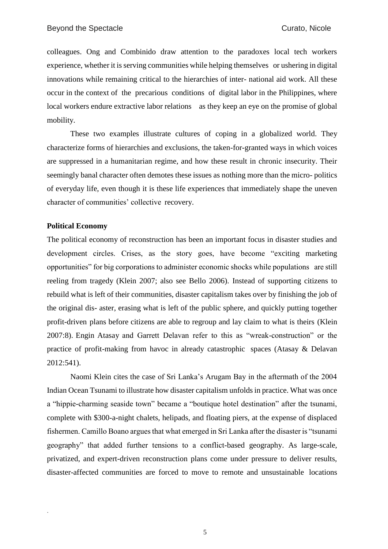colleagues. Ong and Combinido draw attention to the paradoxes local tech workers experience, whether it is serving communities while helping themselves or ushering in digital innovations while remaining critical to the hierarchies of inter- national aid work. All these occur in the context of the precarious conditions of digital labor in the Philippines, where local workers endure extractive labor relations as they keep an eye on the promise of global mobility.

These two examples illustrate cultures of coping in a globalized world. They characterize forms of hierarchies and exclusions, the taken-for-granted ways in which voices are suppressed in a humanitarian regime, and how these result in chronic insecurity. Their seemingly banal character often demotes these issues as nothing more than the micro- politics of everyday life, even though it is these life experiences that immediately shape the uneven character of communities' collective recovery.

# **Political Economy**

.

The political economy of reconstruction has been an important focus in disaster studies and development circles. Crises, as the story goes, have become "exciting marketing opportunities" for big corporations to administer economic shocks while populations are still reeling from tragedy (Klein 2007; also see Bello 2006). Instead of supporting citizens to rebuild what is left of their communities, disaster capitalism takes over by finishing the job of the original dis- aster, erasing what is left of the public sphere, and quickly putting together profit-driven plans before citizens are able to regroup and lay claim to what is theirs (Klein 2007:8). Engin Atasay and Garrett Delavan refer to this as "wreak-construction" or the practice of profit-making from havoc in already catastrophic spaces (Atasay & Delavan 2012:541).

Naomi Klein cites the case of Sri Lanka's Arugam Bay in the aftermath of the 2004 Indian Ocean Tsunami to illustrate how disaster capitalism unfolds in practice. What was once a "hippie-charming seaside town" became a "boutique hotel destination" after the tsunami, complete with \$300-a-night chalets, helipads, and floating piers, at the expense of displaced fishermen. Camillo Boano argues that what emerged in Sri Lanka after the disaster is "tsunami geography" that added further tensions to a conflict-based geography. As large-scale, privatized, and expert-driven reconstruction plans come under pressure to deliver results, disaster-affected communities are forced to move to remote and unsustainable locations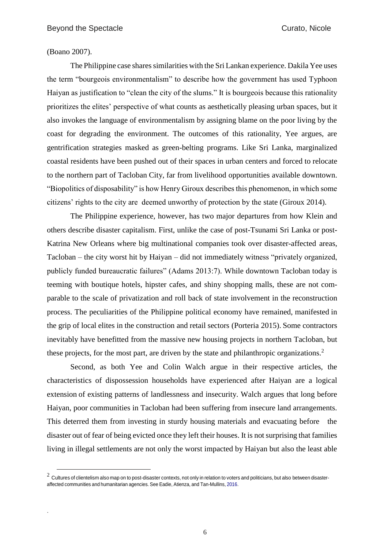#### (Boano 2007).

.

<u>.</u>

The Philippine case shares similarities with the Sri Lankan experience. Dakila Yee uses the term "bourgeois environmentalism" to describe how the government has used Typhoon Haiyan as justification to "clean the city of the slums." It is bourgeois because this rationality prioritizes the elites' perspective of what counts as aesthetically pleasing urban spaces, but it also invokes the language of environmentalism by assigning blame on the poor living by the coast for degrading the environment. The outcomes of this rationality, Yee argues, are gentrification strategies masked as green-belting programs. Like Sri Lanka, marginalized coastal residents have been pushed out of their spaces in urban centers and forced to relocate to the northern part of Tacloban City, far from livelihood opportunities available downtown. "Biopolitics of disposability" is how Henry Giroux describes this phenomenon, in which some citizens' rights to the city are deemed unworthy of protection by the state (Giroux 2014).

The Philippine experience, however, has two major departures from how Klein and others describe disaster capitalism. First, unlike the case of post-Tsunami Sri Lanka or post-Katrina New Orleans where big multinational companies took over disaster-affected areas, Tacloban – the city worst hit by Haiyan – did not immediately witness "privately organized, publicly funded bureaucratic failures" (Adams 2013:7). While downtown Tacloban today is teeming with boutique hotels, hipster cafes, and shiny shopping malls, these are not comparable to the scale of privatization and roll back of state involvement in the reconstruction process. The peculiarities of the Philippine political economy have remained, manifested in the grip of local elites in the construction and retail sectors (Porteria 2015)[.](#page-6-0) Some contractors inevitably have benefitted from the massive new housing projects in northern Tacloban, but these projects, for the most part, are driven by the state and philanthropic organizations.<sup>2</sup>

<span id="page-6-0"></span>Second, as both Yee and Colin Walch argue in their respective articles, the characteristics of dispossession households have experienced after Haiyan are a logical extension of existing patterns of landlessness and insecurity. Walch argues that long before Haiyan, poor communities in Tacloban had been suffering from insecure land arrangements. This deterred them from investing in sturdy housing materials and evacuating before the disaster out of fear of being evicted once they left their houses. It is not surprising that families living in illegal settlements are not only the worst impacted by Haiyan but also the least able

 $^2\,$  Cultures of clientelism also map on to post-disaster contexts, not only in relation to voters and politicians, but also between disasteraffected communities and humanitarian agencies. See Eadie, Atienza, and Tan-Mullins, [2016.](#page-10-0)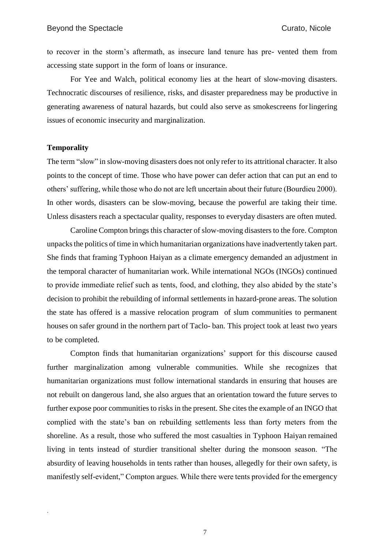to recover in the storm's aftermath, as insecure land tenure has pre- vented them from accessing state support in the form of loans or insurance.

For Yee and Walch, political economy lies at the heart of slow-moving disasters. Technocratic discourses of resilience, risks, and disaster preparedness may be productive in generating awareness of natural hazards, but could also serve as smokescreens forlingering issues of economic insecurity and marginalization.

#### **Temporality**

<span id="page-7-0"></span>.

The term "slow" in slow-moving disasters does not only refer to its attritional character. It also points to the concept of time. Those who have power can defer action that can put an end to others' suffering, while those who do not are left uncertain about their future (Bourdieu 2000). In other words, disasters can be slow-moving, because the powerful are taking their time. Unless disasters reach a spectacular quality, responses to everyday disasters are often muted.

Caroline Compton brings this character of slow-moving disasters to the fore. Compton unpacksthe politics of time in which humanitarian organizations have inadvertently taken part. She finds that framing Typhoon Haiyan as a climate emergency demanded an adjustment in the temporal character of humanitarian work. While international NGOs (INGOs) continued to provide immediate relief such as tents, food, and clothing, they also abided by the state's decision to prohibit the rebuilding of informal settlements in hazard-prone areas. The solution the state has offered is a massive relocation program of slum communities to permanent houses on safer ground in the northern part of Taclo- ban. This project took at least two years to be completed.

Compton finds that humanitarian organizations' support for this discourse caused further marginalization among vulnerable communities. While she recognizes that humanitarian organizations must follow international standards in ensuring that houses are not rebuilt on dangerous land, she also argues that an orientation toward the future serves to further expose poor communities to risks in the present. She cites the example of an INGO that complied with the state's ban on rebuilding settlements less than forty meters from the shoreline. As a result, those who suffered the most casualties in Typhoon Haiyan remained living in tents instead of sturdier transitional shelter during the monsoon season. "The absurdity of leaving households in tents rather than houses, allegedly for their own safety, is manifestly self-evident," Compton argues. While there were tents provided for the emergency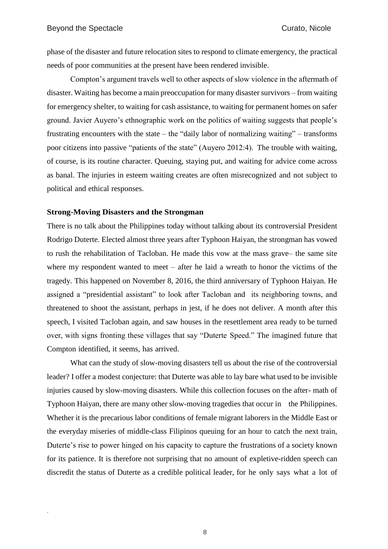phase of the disaster and future relocation sites to respond to climate emergency, the practical needs of poor communities at the present have been rendered invisible.

Compton's argument travels well to other aspects of slow violence in the aftermath of disaster. Waiting has become a main preoccupation for many disaster survivors – from waiting for emergency shelter, to waiting for cash assistance, to waiting for permanent homes on safer ground. Javier Auyero's ethnographic work on the politics of waiting suggests that people's frustrating encounters with the state – the "daily labor of normalizing waiting" – transforms poor citizens into passive "patients of the state" (Auyero 2012:4). [T](#page-7-0)he trouble with waiting, of course, is its routine character. Queuing, staying put, and waiting for advice come across as banal. The injuries in esteem waiting creates are often misrecognized and not subject to political and ethical responses.

### **Strong-Moving Disasters and the Strongman**

There is no talk about the Philippines today without talking about its controversial President Rodrigo Duterte. Elected almost three years after Typhoon Haiyan, the strongman has vowed to rush the rehabilitation of Tacloban. He made this vow at the mass grave– the same site where my respondent wanted to meet – after he laid a wreath to honor the victims of the tragedy. This happened on November 8, 2016, the third anniversary of Typhoon Haiyan. He assigned a "presidential assistant" to look after Tacloban and its neighboring towns, and threatened to shoot the assistant, perhaps in jest, if he does not deliver. A month after this speech, I visited Tacloban again, and saw houses in the resettlement area ready to be turned over, with signs fronting these villages that say "Duterte Speed." The imagined future that Compton identified, it seems, has arrived.

What can the study of slow-moving disasters tell us about the rise of the controversial leader? I offer a modest conjecture: that Duterte was able to lay bare what used to be invisible injuries caused by slow-moving disasters. While this collection focuses on the after- math of Typhoon Haiyan, there are many other slow-moving tragedies that occur in the Philippines. Whether it is the precarious labor conditions of female migrant laborers in the Middle East or the everyday miseries of middle-class Filipinos queuing for an hour to catch the next train, Duterte's rise to power hinged on his capacity to capture the frustrations of a society known for its patience. It is therefore not surprising that no amount of expletive-ridden speech can discredit the status of Duterte as a credible political leader, for he only says what a lot of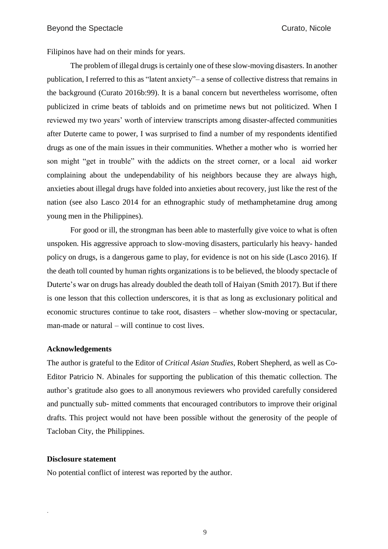Filipinos have had on their minds for years.

<span id="page-9-0"></span>The problem of illegal drugs is certainly one of these slow-moving disasters. In another publication, I referred to this as "latent anxiety"– a sense of collective distress that remains in the background (Curato 2016b:99)[.](#page-7-0) It is a banal concern but nevertheless worrisome, often publicized in crime beats of tabloids and on primetime news but not politicized. When I reviewed my two years' worth of interview transcripts among disaster-affected communities after Duterte came to power, I was surprised to find a number of my respondents identified drugs as one of the main issues in their communities. Whether a mother who is worried her son might "get in trouble" with the addicts on the street corner, or a local aid worker complaining about the undependability of his neighbors because they are always high, anxieties about illegal drugs have folded into anxieties about recovery, just like the rest of the nation (see also Lasco 2014 for an ethnographic study of methamphetamine drug among young men in the Philippines).

For good or ill, the strongman has been able to masterfully give voice to what is often unspoken. His aggressive approach to slow-moving disasters, particularly his heavy- handed policy on drugs, is a dangerous game to play, for evidence is not on his side (Lasco 2016). If the death toll counted by human rights organizations is to be believed, the bloody spectacle of Duterte's war on drugs has already doubled the death toll of Haiyan (Smith 2017). [B](#page-9-0)ut if there is one lesson that this collection underscores, it is that as long as exclusionary political and economic structures continue to take root, disasters – whether slow-moving or spectacular, man-made or natural – will continue to cost lives.

## **Acknowledgements**

The author is grateful to the Editor of *Critical Asian Studies*, Robert Shepherd, as well as Co-Editor Patricio N. Abinales for supporting the publication of this thematic collection. The author's gratitude also goes to all anonymous reviewers who provided carefully considered and punctually sub- mitted comments that encouraged contributors to improve their original drafts. This project would not have been possible without the generosity of the people of Tacloban City, the Philippines.

#### **Disclosure statement**

.

No potential conflict of interest was reported by the author.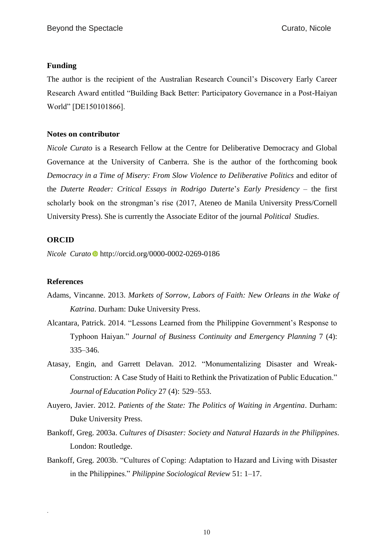# **Funding**

The author is the recipient of the Australian Research Council's Discovery Early Career Research Award entitled "Building Back Better: Participatory Governance in a Post-Haiyan World" [DE150101866].

# **Notes on contributor**

*Nicole Curato* is a Research Fellow at the Centre for Deliberative Democracy and Global Governance at the University of Canberra. She is the author of the forthcoming book *Democracy in a Time of Misery: From Slow Violence to Deliberative Politics* and editor of the *Duterte Reader: Critical Essays in Rodrigo Duterte*'*s Early Presidency* – the first scholarly book on the strongman's rise (2017, Ateneo de Manila University Press/Cornell University Press). She is currently the Associate Editor of the journal *Political Studies*.

# **ORCID**

*Nicole Curato* <http://orcid.org/0000-0002-0269-0186>

## <span id="page-10-0"></span>**References**

.

- Adams, Vincanne. [2013.](#page-2-0) *Markets of Sorrow, Labors of Faith: New Orleans in the Wake of Katrina*. Durham: Duke University Press.
- Alcantara, Patrick. 2014. "Lessons Learned from the Philippine Government's Response to Typhoon Haiyan." *Journal of Business Continuity and Emergency Planning* 7 (4): 335–346.
- Atasay, Engin, and Garrett Delavan. 2012. "Monumentalizing Disaster and Wreak-Construction: A Case Study of Haiti to Rethink the Privatization of Public Education." *Journal of Education Policy* 27 (4): 529–553.
- Auyero, Javier. [2012.](#page-7-0) *Patients of the State: The Politics of Waiting in Argentina*. Durham: Duke University Press.
- Bankoff, Greg. [2003a.](#page-2-0) *Cultures of Disaster: Society and Natural Hazards in the Philippines*. London: Routledge.
- Bankoff, Greg. [2003b.](#page-2-0) "Cultures of Coping: Adaptation to Hazard and Living with Disaster in the Philippines." *Philippine Sociological Review* 51: 1–17.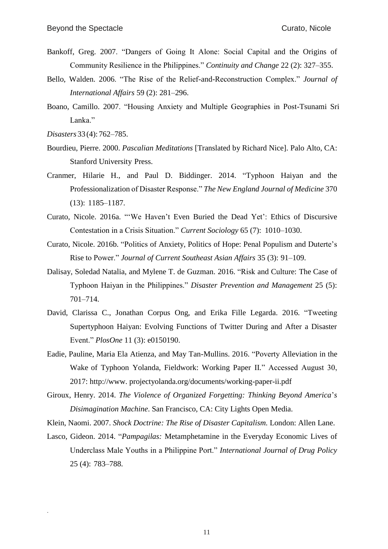- Bankoff, Greg. [2007.](#page-2-0) "Dangers of Going It Alone: Social Capital and the Origins of Community Resilience in the Philippines." *Continuity and Change* 22 (2): 327–355.
- Bello, Walden. 2006. "The Rise of the Relief-and-Reconstruction Complex." *Journal of International Affairs* 59 (2): 281–296.
- Boano, Camillo. 2007. "Housing Anxiety and Multiple Geographies in Post-Tsunami Sri Lanka."
- *Disasters* 33 (4): 762–785.

- Bourdieu, Pierre. [2000.](#page-6-0) *Pascalian Meditations* [Translated by Richard Nice]. Palo Alto, CA: Stanford University Press.
- Cranmer, Hilarie H., and Paul D. Biddinger. 2014. "Typhoon Haiyan and the Professionalization of Disaster Response." *The New England Journal of Medicine* 370 (13): 1185–1187.
- Curato, Nicole. 2016a. "'We Haven't Even Buried the Dead Yet': Ethics of Discursive Contestation in a Crisis Situation." *Current Sociology* 65 (7): 1010–1030.
- Curato, Nicole. [2016b.](#page-7-0) "Politics of Anxiety, Politics of Hope: Penal Populism and Duterte's Rise to Power." *Journal of Current Southeast Asian Affairs* 35 (3): 91–109.
- Dalisay, Soledad Natalia, and Mylene T. de Guzman. [2016.](#page-2-0) "Risk and Culture: The Case of Typhoon Haiyan in the Philippines." *Disaster Prevention and Management* 25 (5): 701–714.
- David, Clarissa C., Jonathan Corpus Ong, and Erika Fille Legarda. 2016. "Tweeting Supertyphoon Haiyan: Evolving Functions of Twitter During and After a Disaster Event." *PlosOne* 11 (3): e0150190.
- Eadie, Pauline, Maria Ela Atienza, and May Tan-Mullins. [2016.](#page-6-0) "Poverty Alleviation in the Wake of Typhoon Yolanda, Fieldwork: Working Paper II*.*" Accessed August 30, 2017: [http://www.](http://www.projectyolanda.org/documents/working-paper-ii.pdf) [projectyolanda.org/documents/working-paper-ii.pdf](http://www.projectyolanda.org/documents/working-paper-ii.pdf)
- Giroux, Henry. 2014. *The Violence of Organized Forgetting: Thinking Beyond America*'*s Disimagination Machine*. San Francisco, CA: City Lights Open Media.
- Klein, Naomi. 2007. *Shock Doctrine: The Rise of Disaster Capitalism.* London: Allen Lane.
- Lasco, Gideon. [2014.](#page-9-0) "*Pampagilas:* Metamphetamine in the Everyday Economic Lives of Underclass Male Youths in a Philippine Port." *International Journal of Drug Policy*  25 (4): 783–788.